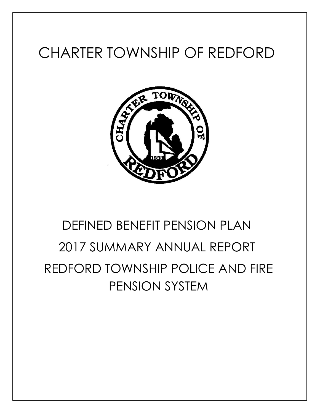## CHARTER TOWNSHIP OF REDFORD



# DEFINED BENEFIT PENSION PLAN 2017 SUMMARY ANNUAL REPORT REDFORD TOWNSHIP POLICE AND FIRE PENSION SYSTEM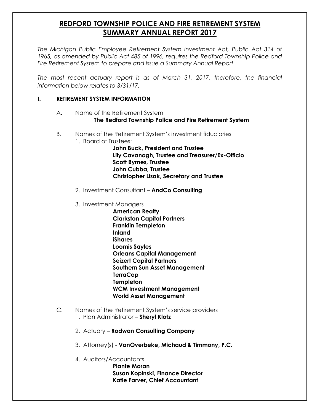### **REDFORD TOWNSHIP POLICE AND FIRE RETIREMENT SYSTEM SUMMARY ANNUAL REPORT 2017**

The Michigan Public Employee Retirement System Investment Act, Public Act 314 of 1965, as amended by Public Act 485 of 1996, requires the Redford Township Police and *Fire Retirement System to prepare and issue a Summary Annual Report.* 

The most recent actuary report is as of March 31, 2017, therefore, the financial *information below relates to 3/31/17.* 

#### **I. RETIREMENT SYSTEM INFORMATION**

A. Name of the Retirement System

**The Redford Township Police and Fire Retirement System** 

- B. Names of the Retirement System's investment fiduciaries
	- 1. Board of Trustees:

**John Buck, President and Trustee Lily Cavanagh, Trustee and Treasurer/Ex-Officio Scott Byrnes, Trustee John Cubba, Trustee Christopher Lisak, Secretary and Trustee**

- 2. Investment Consultant **AndCo Consulting**
- 3. Investment Managers

**American Realty Clarkston Capital Partners Franklin Templeton Inland iShares Loomis Sayles Orleans Capital Management Seizert Capital Partners Southern Sun Asset Management TerraCap Templeton WCM Investment Management World Asset Management**

- C. Names of the Retirement System's service providers 1. Plan Administrator – **Sheryl Klotz**
	- 2. Actuary **Rodwan Consulting Company**
	- 3. Attorney(s) **VanOverbeke, Michaud & Timmony, P.C.**
	- 4. Auditors/Accountants

**Plante Moran Susan Kopinski, Finance Director Katie Farver, Chief Accountant**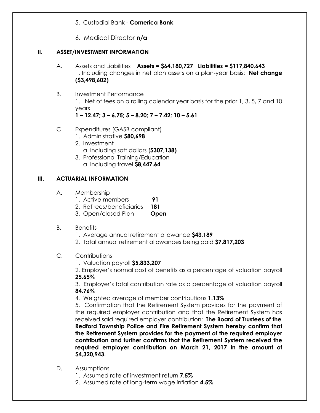5. Custodial Bank - **Comerica Bank** 

6. Medical Director **n/a**

#### **II. ASSET/INVESTMENT INFORMATION**

- A. Assets and Liabilities **Assets = \$64,180,727 Liabilities = \$117,840,643** 1. Including changes in net plan assets on a plan-year basis: **Net change (\$3,498,602)**
- B. Investment Performance 1. Net of fees on a rolling calendar year basis for the prior 1, 3, 5, 7 and 10 years **1 – 12.47; 3 – 6.75; 5 – 8.20; 7 – 7.42; 10 – 5.61**
- C. Expenditures (GASB compliant)
	- 1. Administrative **\$80,698**
	- 2. Investment a. including soft dollars (**\$307,138)**
	- 3. Professional Training/Education a. including travel **\$8,447.64**

#### **III. ACTUARIAL INFORMATION**

- A. Membership
	- 1. Active members **91**
	- 2. Retirees/beneficiaries **181**
	- 3. Open/closed Plan **Open**
- B. Benefits
	- 1. Average annual retirement allowance **\$43,189**
	- 2. Total annual retirement allowances being paid **\$7,817,203**
- C. Contributions
	- 1. Valuation payroll **\$5,833,207**

2. Employer's normal cost of benefits as a percentage of valuation payroll **25.65%**

3. Employer's total contribution rate as a percentage of valuation payroll **84.76%**

4. Weighted average of member contributions **1.13%**

5. Confirmation that the Retirement System provides for the payment of the required employer contribution and that the Retirement System has received said required employer contribution: **The Board of Trustees of the Redford Township Police and Fire Retirement System hereby confirm that the Retirement System provides for the payment of the required employer contribution and further confirms that the Retirement System received the required employer contribution on March 21, 2017 in the amount of \$4,320,943.**

- D. Assumptions
	- 1. Assumed rate of investment return **7.5%**
	- 2. Assumed rate of long-term wage inflation **4.5%**